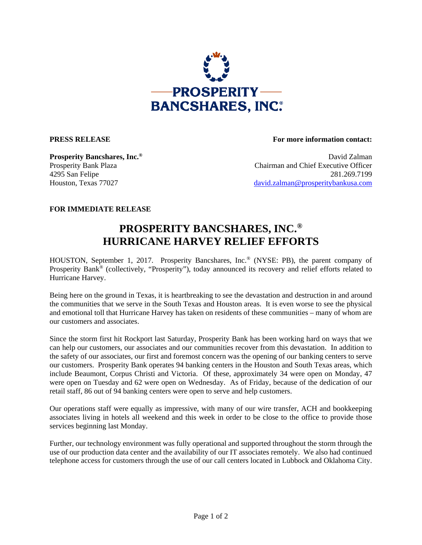

**PRESS RELEASE For more information contact:** 

**Prosperity Bancshares, Inc.<sup>®</sup> David Zalman** Prosperity Bank Plaza Chairman and Chief Executive Officer 4295 San Felipe 281.269.7199 Houston, Texas 77027 david.zalman@prosperitybankusa.com

## **FOR IMMEDIATE RELEASE**

## **PROSPERITY BANCSHARES, INC.® HURRICANE HARVEY RELIEF EFFORTS**

HOUSTON, September 1, 2017. Prosperity Bancshares, Inc.® (NYSE: PB), the parent company of Prosperity Bank<sup>®</sup> (collectively, "Prosperity"), today announced its recovery and relief efforts related to Hurricane Harvey.

Being here on the ground in Texas, it is heartbreaking to see the devastation and destruction in and around the communities that we serve in the South Texas and Houston areas. It is even worse to see the physical and emotional toll that Hurricane Harvey has taken on residents of these communities – many of whom are our customers and associates.

Since the storm first hit Rockport last Saturday, Prosperity Bank has been working hard on ways that we can help our customers, our associates and our communities recover from this devastation. In addition to the safety of our associates, our first and foremost concern was the opening of our banking centers to serve our customers. Prosperity Bank operates 94 banking centers in the Houston and South Texas areas, which include Beaumont, Corpus Christi and Victoria. Of these, approximately 34 were open on Monday, 47 were open on Tuesday and 62 were open on Wednesday. As of Friday, because of the dedication of our retail staff, 86 out of 94 banking centers were open to serve and help customers.

Our operations staff were equally as impressive, with many of our wire transfer, ACH and bookkeeping associates living in hotels all weekend and this week in order to be close to the office to provide those services beginning last Monday.

Further, our technology environment was fully operational and supported throughout the storm through the use of our production data center and the availability of our IT associates remotely. We also had continued telephone access for customers through the use of our call centers located in Lubbock and Oklahoma City.